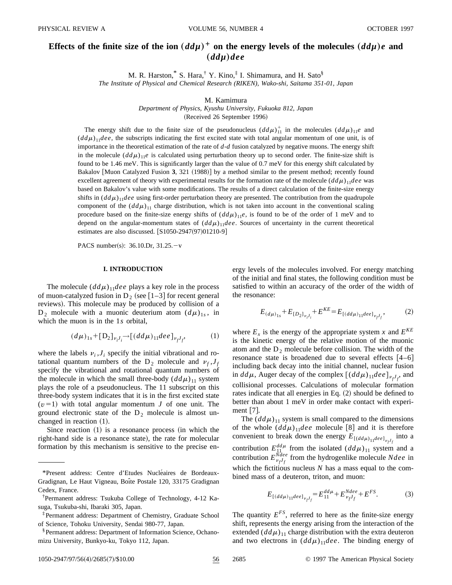# Effects of the finite size of the ion  $(dd\mu)^+$  on the energy levels of the molecules  $(dd\mu)e$  and "*ddµ*…*dee*

M. R. Harston,  $\overline{S}$  S. Hara,  $\overline{S}$  Y. Kino,  $\overline{S}$  I. Shimamura, and H. Sato  $\overline{S}$ *The Institute of Physical and Chemical Research (RIKEN), Wako-shi, Saitama 351-01, Japan*

M. Kamimura

*Department of Physics, Kyushu University, Fukuoka 812, Japan*

(Received 26 September 1996)

The energy shift due to the finite size of the pseudonucleus  $(dd\mu)^{+}_{11}$  in the molecules  $(dd\mu)_{11}e$  and  $(d d\mu)_{11}$ *dee*, the subscripts indicating the first excited state with total angular momentum of one unit, is of importance in the theoretical estimation of the rate of *d*-*d* fusion catalyzed by negative muons. The energy shift in the molecule  $(dd\mu)_{11}e$  is calculated using perturbation theory up to second order. The finite-size shift is found to be 1.46 meV. This is significantly larger than the value of 0.7 meV for this energy shift calculated by Bakalov [Muon Catalyzed Fusion 3, 321 (1988)] by a method similar to the present method; recently found excellent agreement of theory with experimental results for the formation rate of the molecule  $(d d\mu)_{11}$ *dee* was based on Bakalov's value with some modifications. The results of a direct calculation of the finite-size energy shifts in  $(dd\mu)_{11}$ *dee* using first-order perturbation theory are presented. The contribution from the quadrupole component of the  $(d d\mu)_{11}$  charge distribution, which is not taken into account in the conventional scaling procedure based on the finite-size energy shifts of  $(d d\mu)_{11}e$ , is found to be of the order of 1 meV and to depend on the angular-momentum states of  $(dd\mu)_{11}$ *dee*. Sources of uncertainty in the current theoretical estimates are also discussed.  $[$1050-2947(97)01210-9]$ 

PACS number(s):  $36.10 \text{.}Dr, 31.25.-v$ 

#### **I. INTRODUCTION**

The molecule  $(dd\mu)_{11}$ *dee* plays a key role in the process of muon-catalyzed fusion in D<sub>2</sub> (see  $\left[1-3\right]$  for recent general reviews). This molecule may be produced by collision of a  $D_2$  molecule with a muonic deuterium atom  $(d\mu)_{1s}$ , in which the muon is in the 1*s* orbital,

$$
(d\mu)_{1s} + [D_2]_{\nu_i J_i} \to [(dd\mu)_{11} dee]_{\nu_f J_f}, \tag{1}
$$

where the labels  $v_i$ ,  $J_i$  specify the initial vibrational and rotational quantum numbers of the  $D_2$  molecule and  $v_f$ ,  $J_f$ specify the vibrational and rotational quantum numbers of the molecule in which the small three-body  $(dd\mu)_{11}$  system plays the role of a pseudonucleus. The 11 subscript on this three-body system indicates that it is in the first excited state  $(v=1)$  with total angular momentum *J* of one unit. The ground electronic state of the  $D_2$  molecule is almost unchanged in reaction  $(1)$ .

Since reaction  $(1)$  is a resonance process  $(in which the$ right-hand side is a resonance state), the rate for molecular formation by this mechanism is sensitive to the precise energy levels of the molecules involved. For energy matching of the initial and final states, the following condition must be satisfied to within an accuracy of the order of the width of the resonance:

$$
E_{(d\mu)_{1s}} + E_{[D_2]_{\nu, J_i}} + E^{KE} = E_{[(dd\mu)_{11}deel_{\nu, J_i}},
$$
 (2)

where  $E_x$  is the energy of the appropriate system x and  $E^{KE}$ is the kinetic energy of the relative motion of the muonic atom and the  $D_2$  molecule before collision. The width of the resonance state is broadened due to several effects  $[4-6]$ including back decay into the initial channel, nuclear fusion in  $dd\mu$ , Auger decay of the complex  $\left[ (dd\mu)_{11}$  *dee*  $\right]_{\nu_f J_f}$ , and collisional processes. Calculations of molecular formation rates indicate that all energies in Eq.  $(2)$  should be defined to better than about 1 meV in order make contact with experiment  $[7]$ .

The  $(dd\mu)_{11}$  system is small compared to the dimensions of the whole  $(dd\mu)_{11}$ *dee* molecule [8] and it is therefore convenient to break down the energy  $E_{[(dd\mu)]_1de}$  *el*<sub> $\nu_f$ </sub>*j* into a contribution  $E_{11}^{dd\mu}$  from the isolated  $(dd\mu)_{11}$  system and a contribution  $E_{\nu_f f_f}^{Ndee}$  from the hydrogenlike molecule *Ndee* in which the fictitious nucleus *N* has a mass equal to the combined mass of a deuteron, triton, and muon:

$$
E_{[(dd\mu)]^{de}e]}_{\nu} = E_{11}^{dd\mu} + E_{\nu}^{Ndee} + E^{FS}.
$$
 (3)

The quantity  $E^{FS}$ , referred to here as the finite-size energy shift, represents the energy arising from the interaction of the extended  $(dd\mu)_{11}$  charge distribution with the extra deuteron and two electrons in  $(dd\mu)_{11}$ *dee*. The binding energy of

<sup>\*</sup>Present address: Centre d'Etudes Nucléaires de Bordeaux-Gradignan, Le Haut Vigneau, Boîte Postale 120, 33175 Gradignan Cedex, France.

<sup>†</sup> Permanent address: Tsukuba College of Technology, 4-12 Kasuga, Tsukuba-shi, Ibaraki 305, Japan.

<sup>‡</sup>Permanent address: Department of Chemistry, Graduate School of Science, Tohoku University, Sendai 980-77, Japan.

<sup>§</sup>Permanent address: Department of Information Science, Ochanomizu University, Bunkyo-ku, Tokyo 112, Japan.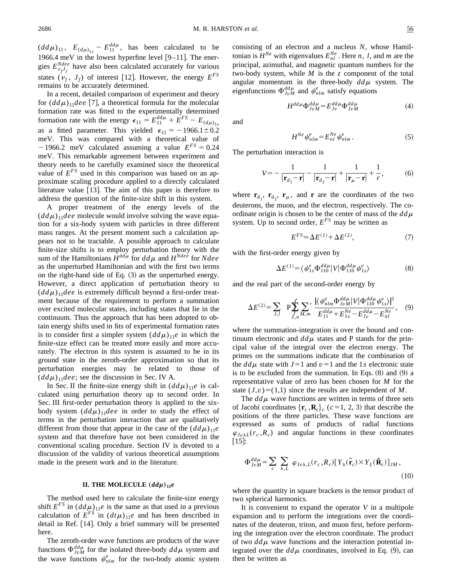$(dd\mu)_{11}$ ,  $E_{(d\mu)_{1s}} - E_{11}^{dd\mu}$ , has been calculated to be 1966.4 meV in the lowest hyperfine level  $[9-11]$ . The energies  $E_{\nu_f f_f}^{Ndee}$  have also been calculated accurately for various states  $(\nu_f, J_f)$  of interest [12]. However, the energy  $E^{FS}$ remains to be accurately determined.

In a recent, detailed comparison of experiment and theory for  $(dd\mu)_{11}$ *dee* [7], a theoretical formula for the molecular formation rate was fitted to the experimentally determined formation rate with the energy  $\epsilon_{11} = E_{11}^{dd\mu} + E^{FS} - E_{(d\mu)}$ <sub>1*s*</sub> as a fitted parameter. This yielded  $\epsilon_{11} = -1966.1 \pm 0.2$ meV. This was compared with a theoretical value of  $-1966.2$  meV calculated assuming a value  $E^{FS} = 0.24$ meV. This remarkable agreement between experiment and theory needs to be carefully examined since the theoretical value of  $E^{FS}$  used in this comparison was based on an approximate scaling procedure applied to a directly calculated literature value  $[13]$ . The aim of this paper is therefore to address the question of the finite-size shift in this system.

A proper treatment of the energy levels of the  $(dd\mu)_{11}$ *dee* molecule would involve solving the wave equation for a six-body system with particles in three different mass ranges. At the present moment such a calculation appears not to be tractable. A possible approach to calculate finite-size shifts is to employ perturbation theory with the sum of the Hamiltonians  $\hat{H}^{dd\mu}$  for  $dd\mu$  and  $H^{Ndee}$  for  $Ndee$ as the unperturbed Hamiltonian and with the first two terms on the right-hand side of Eq.  $(3)$  as the unperturbed energy. However, a direct application of perturbation theory to  $(dd\mu)_{11}$ *dee* is extremely difficult beyond a first-order treatment because of the requirement to perform a summation over excited molecular states, including states that lie in the continuum. Thus the approach that has been adopted to obtain energy shifts used in fits of experimental formation rates is to consider first a simpler system  $(dd\mu)_{11}e$  in which the finite-size effect can be treated more easily and more accurately. The electron in this system is assumed to be in its ground state in the zeroth-order approximation so that its perturbation energies may be related to those of  $(dd\mu)_{11}$ *dee*; see the discussion in Sec. IV A.

In Sec. II the finite-size energy shift in  $(dd\mu)_{11}e$  is calculated using perturbation theory up to second order. In Sec. III first-order perturbation theory is applied to the sixbody system  $(dd\mu)_{11}$ *dee* in order to study the effect of terms in the perturbation interaction that are qualitatively different from those that appear in the case of the  $(dd\mu)_{11}e$ system and that therefore have not been considered in the conventional scaling procedure. Section IV is devoted to a discussion of the validity of various theoretical assumptions made in the present work and in the literature.

### **II. THE MOLECULE**  $(dd\mu)_{11}e$

The method used here to calculate the finite-size energy shift  $E^{FS}$  in  $(dd\mu)_{11}e$  is the same as that used in a previous calculation of  $E^{FS}$  in  $(dt\mu)_{11}e$  and has been described in detail in Ref. [14]. Only a brief summary will be presented here.

The zeroth-order wave functions are products of the wave functions  $\Phi_{JvM}^{dd\mu}$  for the isolated three-body  $dd\mu$  system and the wave functions  $\psi_{nlm}^e$  for the two-body atomic system consisting of an electron and a nucleus *N*, whose Hamiltonian is  $H^{Ne}$  with eigenvalues  $E_{nl}^{Ne}$ . Here *n*, *l*, and *m* are the principal, azimuthal, and magnetic quantum numbers for the two-body system, while *M* is the *z* component of the total angular momentum in the three-body  $dd\mu$  system. The eigenfunctions  $\Phi_{JvM}^{dd\mu}$  and  $\psi_{nlm}^e$  satisfy equations

$$
H^{dd\mu} \Phi_{Jv}^{dd\mu} = E_{Jv}^{dd\mu} \Phi_{JvM}^{dd\mu}
$$
 (4)

and

$$
H^{Ne}\psi_{nlm}^e = E_{nl}^{Ne}\psi_{nlm}^e\,. \tag{5}
$$

The perturbation interaction is

$$
V = -\frac{1}{|\mathbf{r}_{d_1} - \mathbf{r}|} - \frac{1}{|\mathbf{r}_{d_2} - \mathbf{r}|} + \frac{1}{|\mathbf{r}_{\mu} - \mathbf{r}|} + \frac{1}{r},
$$
(6)

where  $\mathbf{r}_{d_1}$ ,  $\mathbf{r}_{d_2}$ ,  $\mathbf{r}_{\mu}$ , and **r** are the coordinates of the two deuterons, the muon, and the electron, respectively. The coordinate origin is chosen to be the center of mass of the  $dd\mu$ system. Up to second order, *EFS* may be written as

$$
E^{FS} \simeq \Delta E^{(1)} + \Delta E^{(2)},\tag{7}
$$

with the first-order energy given by

$$
\Delta E^{(1)} = \langle \psi_{1s}^e \Phi_{110}^{dd\mu} | V | \Phi_{110}^{dd\mu} \psi_{1s}^e \rangle \tag{8}
$$

and the real part of the second-order energy by

$$
\Delta E^{(2)} = \sum_{J,l} \quad P \sum_{v,n} \sum_{M,m}^{\prime} \frac{|\langle \psi_{nlm}^e \Phi_{JvM}^{dd\mu} | V | \Phi_{110}^{dd\mu} \psi_{1s}^e \rangle|^2}{E_{11}^{dd\mu} + E_{1s}^{Ne} - E_{Jv}^{dd\mu} - E_{nl}^{Ne}}, \quad (9)
$$

where the summation-integration is over the bound and continuum electronic and  $d d\mu$  states and P stands for the principal value of the integral over the electron energy. The primes on the summations indicate that the combination of the  $dd\mu$  state with  $J=1$  and  $\nu=1$  and the 1*s* electronic state is to be excluded from the summation. In Eqs.  $(8)$  and  $(9)$  a representative value of zero has been chosen for *M* for the state  $(J, v) = (1, 1)$  since the results are independent of *M*.

The  $dd\mu$  wave functions are written in terms of three sets of Jacobi coordinates  $\{r_c, R_c\}_c$  ( $c=1, 2, 3$ ) that describe the positions of the three particles. These wave functions are expressed as sums of products of radial functions  $\varphi_{Jv\lambda L}(r_c, R_c)$  and angular functions in these coordinates  $\lfloor 15 \rfloor$ :

$$
\Phi_{JvM}^{dd\mu} = \sum_{c} \sum_{\lambda,L} \varphi_{Jv\lambda,L}(r_c,R_c) [Y_{\lambda}(\hat{\mathbf{r}}_c) \times Y_{L}(\hat{\mathbf{R}}_c)]_{JM},
$$
\n(10)

where the quantity in square brackets is the tensor product of two spherical harmonics.

It is convenient to expand the operator *V* in a multipole expansion and to perform the integrations over the coordinates of the deuteron, triton, and muon first, before performing the integration over the electron coordinate. The product of two  $dd\mu$  wave functions and the interaction potential integrated over the  $dd\mu$  coordinates, involved in Eq. (9), can then be written as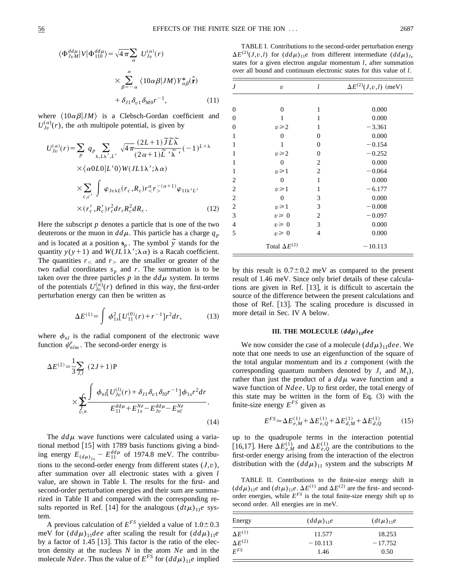$$
\langle \Phi_{JvM}^{dd\mu} | V | \Phi_{110}^{dd\mu} \rangle = \sqrt{4 \pi \sum_{\alpha} U_{Jv}^{(\alpha)}(r)}
$$

$$
\times \sum_{\beta=-\alpha}^{\alpha} \langle 10\alpha \beta | JM \rangle Y_{\alpha\beta}^{*}(\hat{\mathbf{r}})
$$

$$
+ \delta_{J1} \delta_{v1} \delta_{M0} r^{-1}, \qquad (11)
$$

where  $\langle 10\alpha\beta|JM\rangle$  is a Clebsch-Gordan coefficient and  $U_{Jv}^{(\alpha)}(r)$ , the  $\alpha$ th multipole potential, is given by

$$
U_{J_v}^{(\alpha)}(r) = \sum_p q_p \sum_{\lambda, L\lambda', L'} \sqrt{4\pi} \frac{(2L+1)\widetilde{J}\widetilde{L}\widetilde{\lambda}}{(2\alpha+1)\widetilde{L}'\widetilde{\lambda}'} (-1)^{L+\lambda}
$$
  
× $\langle \alpha 0 L0 | L'0 \rangle W(JL1\lambda'; \lambda \alpha)$   
×
$$
\sum_{c,c'} \int \varphi_{Jv\lambda L}(r_c, R_c) r_c^{\alpha} r_c^{-(\alpha+1)} \varphi_{11\lambda' L'}
$$
  
× $(r_c', R_c') r_c^2 dr_c R_c^2 dR_c.$  (12)

Here the subscript *p* denotes a particle that is one of the two deuterons or the muon in  $dd\mu$ . This particle has a charge  $q_p$ and is located at a position  $\mathbf{s}_p$ . The symbol  $\tilde{y}$  stands for the quantity  $y(y+1)$  and  $W(JL_1\lambda';\lambda \alpha)$  is a Racah coefficient. The quantities  $r<sub>0</sub>$  and  $r<sub>0</sub>$  are the smaller or greater of the two radial coordinates  $s_p$  and  $r$ . The summation is to be taken over the three particles  $p$  in the  $dd\mu$  system. In terms of the potentials  $U_{j\nu}^{(\alpha)}(r)$  defined in this way, the first-order perturbation energy can then be written as

$$
\Delta E^{(1)} = \int \phi_{1s}^2 [U_{11}^{(0)}(r) + r^{-1}] r^2 dr, \qquad (13)
$$

where  $\phi_{nl}$  is the radial component of the electronic wave function  $\psi^e_{nlm}$ . The second-order energy is

$$
\Delta E^{(2)} = \frac{1}{3} \sum_{J,I} (2J+1)P
$$
  
 
$$
\times \sum_{v,n} \frac{\int \phi_{nl} [U_{Jv}^{(l)}(r) + \delta_{J1} \delta_{v1} \delta_{l0}r^{-1}] \phi_{1s}r^{2} dr}{E_{11}^{dd\mu} + E_{1s}^{Ne} - E_{Jv}^{dd\mu} - E_{nl}^{Ne}}.
$$
 (14)

The  $dd\mu$  wave functions were calculated using a variational method  $[15]$  with 1789 basis functions giving a binding energy  $E_{(d\mu)_{1s}} - E_{11}^{dd\mu}$  of 1974.8 meV. The contributions to the second-order energy from different states  $(J, v)$ , after summation over all electronic states with a given *l* value, are shown in Table I. The results for the first- and second-order perturbation energies and their sum are summarized in Table II and compared with the corresponding results reported in Ref. [14] for the analogous  $(dt\mu)_{11}e$  system.

A previous calculation of  $E^{FS}$  yielded a value of  $1.0 \pm 0.3$ meV for  $(dd\mu)_{11}$ *dee* after scaling the result for  $(dd\mu)_{11}e$ by a factor of 1.45  $\lceil 13 \rceil$ . This factor is the ratio of the electron density at the nucleus *N* in the atom *Ne* and in the molecule *Ndee*. Thus the value of  $E^{FS}$  for  $(dd\mu)_{11}e$  implied

TABLE I. Contributions to the second-order perturbation energy  $\Delta E^{(2)}(J, v, l)$  for  $(dd\mu)_{11}e$  from different intermediate  $(dd\mu)_{Jv}$ states for a given electron angular momentum *l*, after summation over all bound and continuum electronic states for this value of *l*.

| J                | $\upsilon$             | l              | $\Delta E^{(2)}(J, v, l)$ (meV) |
|------------------|------------------------|----------------|---------------------------------|
|                  |                        |                |                                 |
| $\boldsymbol{0}$ | $\overline{0}$         | 1              | 0.000                           |
| $\boldsymbol{0}$ | 1                      | 1              | 0.000                           |
| $\overline{0}$   | $v \geq 2$             | 1              | $-3.361$                        |
| $\mathbf{1}$     | $\theta$               | $\overline{0}$ | 0.000                           |
| $\mathbf{1}$     | 1                      | $\overline{0}$ | $-0.154$                        |
| 1                | $v \geqslant 2$        | $\overline{0}$ | $-0.252$                        |
| 1                | $\overline{0}$         | 2              | 0.000                           |
| $\mathbf{1}$     | $v \geq 1$             | 2              | $-0.064$                        |
| $\overline{2}$   | $\overline{0}$         | 1              | 0.000                           |
| $\overline{2}$   | $v \geq 1$             | 1              | $-6.177$                        |
| $\sqrt{2}$       | 0                      | 3              | 0.000                           |
| $\overline{c}$   | $v \geq 1$             | 3              | $-0.008$                        |
| 3                | $v \geq 0$             | $\overline{c}$ | $-0.097$                        |
| $\overline{4}$   | $v \geq 0$             | 3              | 0.000                           |
| 5                | $v \geq 0$             | $\overline{4}$ | 0.000                           |
|                  | Total $\Delta E^{(2)}$ |                | $-10.113$                       |

by this result is  $0.7\pm0.2$  meV as compared to the present result of 1.46 meV. Since only brief details of these calculations are given in Ref.  $[13]$ , it is difficult to ascertain the source of the difference between the present calculations and those of Ref.  $[13]$ . The scaling procedure is discussed in more detail in Sec. IV A below.

## **III.** THE MOLECULE  $(dd\mu)_{11}$ *dee*

We now consider the case of a molecule  $(dd\mu)_{11}$ *dee*. We note that one needs to use an eigenfunction of the square of the total angular momentum and its  $z$  component (with the corresponding quantum numbers denoted by  $J_t$  and  $M_t$ ), rather than just the product of a  $dd\mu$  wave function and a wave function of *Ndee*. Up to first order, the total energy of this state may be written in the form of Eq.  $(3)$  with the finite-size energy  $E^{FS}$  given as

$$
E^{FS} \simeq \Delta E_{e,M}^{(1)} + \Delta E_{e,Q}^{(1)} + \Delta E_{d,M}^{(1)} + \Delta E_{d,Q}^{(1)}
$$
 (15)

up to the quadrupole terms in the interaction potential [16,17]. Here  $\Delta E_{e,M}^{(1)}$  and  $\Delta E_{e,Q}^{(1)}$  are the contributions to the first-order energy arising from the interaction of the electron distribution with the  $(dd\mu)_{11}$  system and the subscripts M

TABLE II. Contributions to the finite-size energy shift in  $(dd\mu)_{11}e$  and  $(dt\mu)_{11}e$ .  $\Delta E^{(1)}$  and  $\Delta E^{(2)}$  are the first- and secondorder energies, while  $E^{FS}$  is the total finite-size energy shift up to second order. All energies are in meV.

| Energy           | $(dd\mu)_{11}e$ | $(dt\mu)_{11}e$ |
|------------------|-----------------|-----------------|
| $\Delta E^{(1)}$ | 11.577          | 18.253          |
| $\Delta E^{(2)}$ | $-10.113$       | $-17.752$       |
| $E^{FS}$         | 1.46            | 0.50            |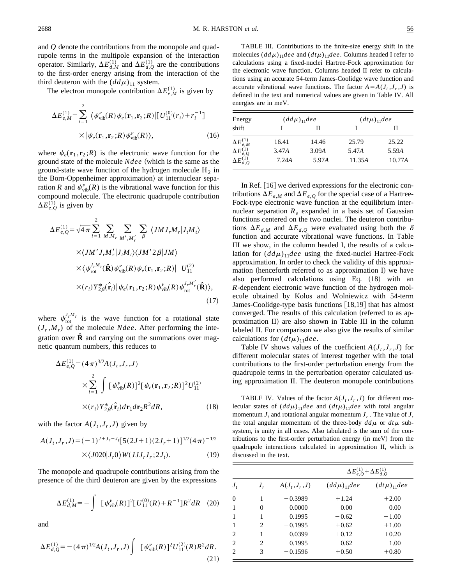and *Q* denote the contributions from the monopole and quadrupole terms in the multipole expansion of the interaction operator. Similarly,  $\Delta E_{d,M}^{(1)}$  and  $\Delta E_{d,Q}^{(1)}$  are the contributions to the first-order energy arising from the interaction of the third deuteron with the  $(dd\mu)_{11}$  system.

The electron monopole contribution  $\Delta E_{e,M}^{(1)}$  is given by

$$
\Delta E_{e,M}^{(1)} = \sum_{i=1}^{2} \langle \psi_{\text{vib}}^{v}(R) \psi_e(\mathbf{r}_1, \mathbf{r}_2; R) | [U_{11}^{(0)}(\mathbf{r}_i) + \mathbf{r}_i^{-1}]
$$
  
 
$$
\times |\psi_e(\mathbf{r}_1, \mathbf{r}_2; R) \psi_{\text{vib}}^{v}(R) \rangle, \qquad (16)
$$

where  $\psi_e(\mathbf{r}_1, \mathbf{r}_2; R)$  is the electronic wave function for the ground state of the molecule *Ndee* (which is the same as the ground-state wave function of the hydrogen molecule  $H_2$  in the Born-Oppenheimer approximation) at internuclear separation *R* and  $\psi_{\text{vib}}^{\nu}(R)$  is the vibrational wave function for this compound molecule. The electronic quadrupole contribution  $\Delta E_{e,Q}^{(1)}$  is given by

$$
\Delta E_{e,Q}^{(1)} = \sqrt{4\pi} \sum_{i=1}^{2} \sum_{M,M_r} \sum_{M',M'_r} \sum_{\beta} \langle JMJ_rM_r|J_tM_t \rangle
$$
  
 
$$
\times \langle JM'J_rM'_r|J_tM_t \rangle \langle JM'2\beta|JM \rangle
$$
  
 
$$
\times \langle \psi_{\text{rot}}^{J_rM_r}(\hat{\mathbf{R}}) \psi_{\text{vib}}^v(R) \psi_e(\mathbf{r}_1, \mathbf{r}_2;R)| U_{11}^{(2)}
$$
  
 
$$
\times (r_i) Y_{2\beta}^*(\hat{\mathbf{r}}_i) |\psi_e(\mathbf{r}_1, \mathbf{r}_2;R) \psi_{\text{vib}}^v(R) \psi_{\text{rot}}^{J_rM'_r}(\hat{\mathbf{R}})\rangle, \tag{17}
$$

where  $\psi_{\text{rot}}^{J_r M_r}$  is the wave function for a rotational state  $(J_r, M_r)$  of the molecule *Ndee*. After performing the integration over  $\ddot{\mathbf{R}}$  and carrying out the summations over magnetic quantum numbers, this reduces to

$$
\Delta E_{e,Q}^{(1)} = (4\pi)^{3/2} A(J_t, J_r, J)
$$
  
 
$$
\times \sum_{i=1}^{2} \int [\psi_{\text{vib}}^{v}(R)]^{2} [\psi_e(\mathbf{r}_1, \mathbf{r}_2; R)]^{2} U_{11}^{(2)}
$$
  
 
$$
\times (r_i) Y_{2\beta}^{*}(\hat{\mathbf{r}}_i) d\mathbf{r}_1 d\mathbf{r}_2 R^{2} dR,
$$
 (18)

with the factor  $A(J_t, J_r, J)$  given by

$$
A(J_t, J_r, J) = (-1)^{J + J_r - J_f} [5(2J + 1)(2J_r + 1)]^{1/2} (4\pi)^{-1/2}
$$
  
× $\langle J020|J_r 0 \rangle W(JJJ_r J_r; 2J_t).$  (19)

The monopole and quadrupole contributions arising from the presence of the third deuteron are given by the expressions

$$
\Delta E_{d,M}^{(1)} = -\int \left[ \psi_{\text{vib}}^{\nu}(R) \right]^2 \left[ U_{11}^{(0)}(R) + R^{-1} \right] R^2 dR \quad (20)
$$

and

$$
\Delta E_{d,Q}^{(1)} = -(4\pi)^{1/2} A(J_t, J_r, J) \int \ [\psi_{\text{vib}}^{\nu}(R)]^2 U_{11}^{(2)}(R) R^2 dR. \tag{21}
$$

TABLE III. Contributions to the finite-size energy shift in the molecules  $(dd\mu)_{11}$ *dee* and  $(dt\mu)_{11}$ *dee*. Columns headed I refer to calculations using a fixed-nuclei Hartree-Fock approximation for the electronic wave function. Columns headed II refer to calculations using an accurate 54-term James-Coolidge wave function and accurate vibrational wave functions. The factor  $A = A(J_t, J_r, J)$  is defined in the text and numerical values are given in Table IV. All energies are in meV.

| Energy                 | $(dd\mu)_{11}$ dee |          |           | $(dt\mu)_{11}$ dee |
|------------------------|--------------------|----------|-----------|--------------------|
| shift                  |                    |          |           | Н                  |
| $\Delta E^{(1)}_{e,M}$ | 16.41              | 14.46    | 25.79     | 25.22              |
| $\Delta E^{(1)}_{e,Q}$ | 3.47A              | 3.09A    | 5.47A     | 5.59A              |
| $\Delta E_{d,O}^{(1)}$ | $-7.24A$           | $-5.97A$ | $-11.35A$ | $-10.77A$          |

In Ref.  $[16]$  we derived expressions for the electronic contributions  $\Delta E_{e,M}$  and  $\Delta E_{e,Q}$  for the special case of a Hartree-Fock-type electronic wave function at the equilibrium internuclear separation  $R_e$  expanded in a basis set of Gaussian functions centered on the two nuclei. The deuteron contributions  $\Delta E_{d,M}$  and  $\Delta E_{d,Q}$  were evaluated using both the  $\delta$ function and accurate vibrational wave functions. In Table III we show, in the column headed I, the results of a calculation for  $(dd\mu)_{11}$ *dee* using the fixed-nuclei Hartree-Fock approximation. In order to check the validity of this approximation (henceforth referred to as approximation I) we have also performed calculations using Eq. (18) with an *R*-dependent electronic wave function of the hydrogen molecule obtained by Kolos and Wolniewicz with 54-term James-Coolidge-type basis functions [18,19] that has almost converged. The results of this calculation (referred to as approximation II) are also shown in Table III in the column labeled II. For comparison we also give the results of similar calculations for  $(dt\mu)_{11}$ *dee.* 

Table IV shows values of the coefficient  $A(J_t, J_r, J)$  for different molecular states of interest together with the total contributions to the first-order perturbation energy from the quadrupole terms in the perturbation operator calculated using approximation II. The deuteron monopole contributions

TABLE IV. Values of the factor  $A(J_t, J_r, J)$  for different molecular states of  $(dd\mu)_{11}$ *dee* and  $(dt\mu)_{11}$ *dee* with total angular momentum  $J_t$  and rotational angular momentum  $J_t$ . The value of  $J$ , the total angular momentum of the three-body  $d d\mu$  or  $d\tau \mu$  subsystem, is unity in all cases. Also tabulated is the sum of the contributions to the first-order perturbation energy (in meV) from the quadrupole interactions calculated in approximation II, which is discussed in the text.

|                |                |                    | $\Delta E_{e,Q}^{(1)} + \Delta E_{d,Q}^{(1)}$ |                    |  |
|----------------|----------------|--------------------|-----------------------------------------------|--------------------|--|
| $J_{t}$        | $J_r$          | $A(J_{t},J_{r},J)$ | $(dd\mu)_{11}$ dee                            | $(dt\mu)_{11}$ dee |  |
| 0              |                | $-0.3989$          | $+1.24$                                       | $+2.00$            |  |
| 1              | 0              | 0.0000             | 0.00                                          | 0.00               |  |
| 1              | 1              | 0.1995             | $-0.62$                                       | $-1.00$            |  |
| 1              | $\mathfrak{D}$ | $-0.1995$          | $+0.62$                                       | $+1.00$            |  |
| 2              | 1              | $-0.0399$          | $+0.12$                                       | $+0.20$            |  |
| $\mathfrak{D}$ | $\mathfrak{D}$ | 0.1995             | $-0.62$                                       | $-1.00$            |  |
| $\mathfrak{D}$ | 3              | $-0.1596$          | $+0.50$                                       | $+0.80$            |  |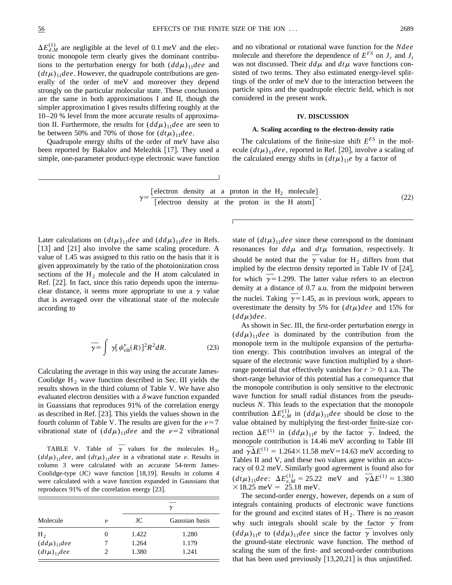$\Delta E_{d,M}^{(1)}$  are negligible at the level of 0.1 meV and the electronic monopole term clearly gives the dominant contributions to the perturbation energy for both  $(dd\mu)_{11}$ *dee* and  $(dt\mu)_{11}$ *dee*. However, the quadrupole contributions are generally of the order of meV and moreover they depend strongly on the particular molecular state. These conclusions are the same in both approximations I and II, though the simpler approximation I gives results differing roughly at the 10–20 % level from the more accurate results of approximation II. Furthermore, the results for  $(dd\mu)_{11}$ *dee* are seen to be between 50% and 70% of those for  $(dt\mu)_{11}$ *dee*.

Quadrupole energy shifts of the order of meV have also been reported by Bakalov and Melezhik [17]. They used a simple, one-parameter product-type electronic wave function and no vibrational or rotational wave function for the *Ndee* molecule and therefore the dependence of  $E^{FS}$  on  $J_r$  and  $J_t$ was not discussed. Their  $dd\mu$  and  $dt\mu$  wave functions consisted of two terms. They also estimated energy-level splittings of the order of meV due to the interaction between the particle spins and the quadrupole electric field, which is not considered in the present work.

#### **IV. DISCUSSION**

# **A. Scaling according to the electron-density ratio**

The calculations of the finite-size shift  $E^{FS}$  in the molecule  $(dt\mu)_{11}$ *dee*, reported in Ref. [20], involve a scaling of the calculated energy shifts in  $(dt\mu)_{11}e$  by a factor of

$$
\gamma = \frac{\text{[electron density at a proton in the H}_2 molecule]}}{\text{[electron density at the proton in the H atom]}}.
$$
\n(22)

Later calculations on  $(dt\mu)_{11}$ *dee* and  $(dd\mu)_{11}$ *dee* in Refs. [13] and  $[21]$  also involve the same scaling procedure. A value of 1.45 was assigned to this ratio on the basis that it is given approximately by the ratio of the photoionization cross sections of the  $H_2$  molecule and the H atom calculated in Ref.  $[22]$ . In fact, since this ratio depends upon the internuclear distance, it seems more appropriate to use a  $\gamma$  value that is averaged over the vibrational state of the molecule according to

$$
\overline{\gamma} = \int \gamma [\psi_{\text{vib}}^{\nu}(R)]^2 R^2 dR. \tag{23}
$$

Calculating the average in this way using the accurate James-Coolidge  $H_2$  wave function described in Sec. III yields the results shown in the third column of Table V. We have also evaluated electron densities with a  $\delta$  wave function expanded in Guassians that reproduces 91% of the correlation energy as described in Ref. [23]. This yields the values shown in the fourth column of Table V. The results are given for the  $\nu=7$ vibrational state of  $(dd\mu)_{11}$ *dee* and the  $\nu=2$  vibrational

TABLE V. Table of  $\overline{\gamma}$  values for the molecules H<sub>2</sub>,  $(dd\mu)_{11}$ *dee*, and  $(dt\mu)_{11}$ *dee* in a vibrational state v. Results in column 3 were calculated with an accurate 54-term James-Coolidge-type  $(JC)$  wave function [18,19]. Results in column 4 were calculated with a wave function expanded in Gaussians that reproduces  $91\%$  of the correlation energy  $[23]$ .

|                    |          | $\gamma$ |                |  |
|--------------------|----------|----------|----------------|--|
| Molecule           | ν        | JC       | Gaussian basis |  |
| H <sub>2</sub>     | $\theta$ | 1.422    | 1.280          |  |
| $(dd\mu)_{11}$ dee |          | 1.264    | 1.179          |  |
| $(dt\mu)_{11}$ dee | 2        | 1.380    | 1.241          |  |

state of  $(dt\mu)_{11}$ *dee* since these correspond to the dominant resonances for  $dd\mu$  and  $dt\mu$  formation, respectively. It should be noted that the  $\overline{\gamma}$  value for H<sub>2</sub> differs from that implied by the electron density reported in Table IV of  $[24]$ , for which  $\bar{\gamma}$  = 1.299. The latter value refers to an electron density at a distance of 0.7 a.u. from the midpoint between the nuclei. Taking  $\bar{\gamma}$  = 1.45, as in previous work, appears to overestimate the density by 5% for  $(d t \mu)$  *dee* and 15% for  $(d d\mu)$ *dee.* 

As shown in Sec. III, the first-order perturbation energy in  $(dd\mu)_{11}$ *dee* is dominated by the contribution from the monopole term in the multipole expansion of the perturbation energy. This contribution involves an integral of the square of the electronic wave function multiplied by a shortrange potential that effectively vanishes for  $r > 0.1$  a.u. The short-range behavior of this potential has a consequence that the monopole contribution is only sensitive to the electronic wave function for small radial distances from the pseudonucleus *N*. This leads to the expectation that the monopole contribution  $\Delta E_{e,M}^{(1)}$  in  $(dd\mu)_{11}$ *dee* should be close to the value obtained by multiplying the first-order finite-size corvalue obtained by multiplying the first-order limite-size correction  $\Delta E^{(1)}$  in  $(dd\mu)_{11}e$  by the factor  $\overline{\gamma}$ . Indeed, the monopole contribution is 14.46 meV according to Table III monopole contribution is 14.46 mev according to Table III<br>and  $\overline{\gamma} \Delta E^{(1)} = 1.264 \times 11.58$  meV=14.63 meV according to Tables II and V, and these two values agree within an accuracy of 0.2 meV. Similarly good agreement is found also for racy of 0.2 life v. Shiftharty good agreement is found also for<br>  $(dt\mu)_{11}$  *dee*:  $\Delta E_{e,M}^{(1)} = 25.22$  meV and  $\overline{\gamma}\Delta E^{(1)} = 1.380$  $\times$ 18.25 meV = 25.18 meV.

The second-order energy, however, depends on a sum of integrals containing products of electronic wave functions for the ground and excited states of  $H_2$ . There is no reason For the ground and excited states of  $H_2$ . There is no reason<br>why such integrals should scale by the factor  $\overline{\gamma}$  from (*dd* $\mu$ )<sub>11</sub>*e* to (*dd* $\mu$ )<sub>11</sub>*dee* since the factor  $\overline{\gamma}$  involves only the ground-state electronic wave function. The method of scaling the sum of the first- and second-order contributions that has been used previously  $[13,20,21]$  is thus unjustified.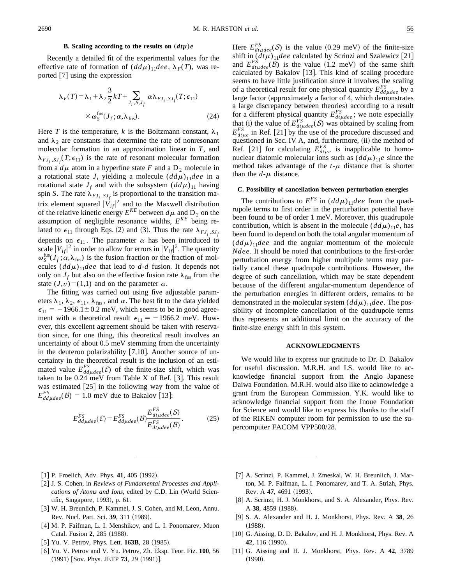### **B.** Scaling according to the results on  $(dt\mu)e$

Recently a detailed fit of the experimental values for the effective rate of formation of  $(dd\mu)_{11}$ *dee*,  $\lambda_F(T)$ , was reported  $\lceil 7 \rceil$  using the expression

$$
\lambda_F(T) = \lambda_1 + \lambda_2 \frac{3}{2} kT + \sum_{J_i, S, J_f} \alpha \lambda_{FJ_i, SJ_f}(T; \epsilon_{11})
$$
  
×  $\omega_S^{\text{fus}}(J_f; \alpha, \lambda_{\text{fus}}).$  (24)

Here *T* is the temperature, *k* is the Boltzmann constant,  $\lambda_1$ and  $\lambda_2$  are constants that determine the rate of nonresonant molecular formation in an approximation linear in *T*, and  $\lambda_{FJ_i, SJ_f}(T; \epsilon_{11})$  is the rate of resonant molecular formation from a  $d\mu$  atom in a hyperfine state *F* and a D<sub>2</sub> molecule in a rotational state  $J_i$  yielding a molecule  $(dd\mu)_{11}$ *dee* in a rotational state  $J_f$  and with the subsystem  $(dd\mu)_{11}$  having spin *S*. The rate  $\lambda_{FJ_i, SJ_f}$  is proportional to the transition matrix element squared  $|\dot{V}_{if}|^2$  and to the Maxwell distribution of the relative kinetic energy  $E^{KE}$  between  $d\mu$  and D<sub>2</sub> on the assumption of negligible resonance widths, *EKE* being related to  $\epsilon_{11}$  through Eqs. (2) and (3). Thus the rate  $\lambda_{FJ_i,SJ_i}$ depends on  $\epsilon_{11}$ . The parameter  $\alpha$  has been introduced to scale  $|V_{ij}|^2$  in order to allow for errors in  $|V_{ij}|^2$ . The quantity  $\omega_S^{\text{fus}}(J_f; \alpha, \lambda_{\text{fus}})$  is the fusion fraction or the fraction of molecules  $(dd\mu)_{11}$ *dee* that lead to *d*-*d* fusion. It depends not only on  $J_f$  but also on the effective fusion rate  $\lambda_{fus}$  from the state  $(J, v) = (1, 1)$  and on the parameter  $\alpha$ .

The fitting was carried out using five adjustable parameters  $\lambda_1$ ,  $\lambda_2$ ,  $\epsilon_{11}$ ,  $\lambda_{fus}$ , and  $\alpha$ . The best fit to the data yielded  $\epsilon_{11}$  = -1966.1±0.2 meV, which seems to be in good agreement with a theoretical result  $\epsilon_{11} = -1966.2$  meV. However, this excellent agreement should be taken with reservation since, for one thing, this theoretical result involves an uncertainty of about 0.5 meV stemming from the uncertainty in the deuteron polarizability  $[7,10]$ . Another source of uncertainty in the theoretical result is the inclusion of an estimated value  $E_{dd\mu dee}^{FS}(\mathcal{E})$  of the finite-size shift, which was taken to be  $0.24$  meV from Table X of Ref. [3]. This result was estimated  $[25]$  in the following way from the value of  $E_{dd\mu dee}^{FS}(\mathcal{B}) = 1.0$  meV due to Bakalov [13]:

$$
E_{dd\mu dee}^{FS}(\mathcal{E}) = E_{dd\mu dee}^{FS}(\mathcal{B}) \frac{E_{dt\mu dee}^{FS}(\mathcal{S})}{E_{dt\mu dee}^{FS}(\mathcal{B})}.
$$
 (25)

Here  $E_{dt\mu dee}^{FS}(\mathcal{S})$  is the value (0.29 meV) of the finite-size shift in  $(dt\mu)_{11}$ *dee* calculated by Scrinzi and Szalewicz [21] and  $E_{dt\mu dee}^{FS}(\mathcal{B})$  is the value (1.2 meV) of the same shift calculated by Bakalov [13]. This kind of scaling procedure seems to have little justification since it involves the scaling of a theoretical result for one physical quantity  $E_{dd\mu dee}^{FS}$  by a large factor (approximately a factor of 4, which demonstrates a large discrepancy between theories) according to a result for a different physical quantity  $E_{dt\mu$  *dee*; we note especially that (i) the value of  $E_{dt\mu dee}^{FS}(\mathcal{S})$  was obtained by scaling from  $E_{d$ <sub>tuc</sub> in Ref. [21] by the use of the procedure discussed and questioned in Sec. IV A, and, furthermore,  $(ii)$  the method of Ref. [21] for calculating  $E_{dt\mu e}^{FS}$  is inapplicable to homonuclear diatomic molecular ions such as  $(dd\mu)_{11}e$  since the method takes advantage of the  $t-\mu$  distance that is shorter than the  $d$ - $\mu$  distance.

#### **C. Possibility of cancellation between perturbation energies**

The contributions to  $E^{FS}$  in  $(dd\mu)_{11}$ *dee* from the quadrupole terms to first order in the perturbation potential have been found to be of order 1 meV. Moreover, this quadrupole contribution, which is absent in the molecule  $(dd\mu)_{11}e$ , has been found to depend on both the total angular momentum of  $(dd\mu)_{11}$ *dee* and the angular momentum of the molecule *Ndee*. It should be noted that contributions to the first-order perturbation energy from higher multipole terms may partially cancel these quadrupole contributions. However, the degree of such cancellation, which may be state dependent because of the different angular-momentum dependence of the perturbation energies in different orders, remains to be demonstrated in the molecular system  $(dd\mu)_{11}$ *dee*. The possibility of incomplete cancellation of the quadrupole terms thus represents an additional limit on the accuracy of the finite-size energy shift in this system.

#### **ACKNOWLEDGMENTS**

We would like to express our gratitude to Dr. D. Bakalov for useful discussion. M.R.H. and I.S. would like to acknowledge financial support from the Anglo–Japanese Daiwa Foundation. M.R.H. would also like to acknowledge a grant from the European Commission. Y.K. would like to acknowledge financial support from the Inoue Foundation for Science and would like to express his thanks to the staff of the RIKEN computer room for permission to use the supercomputer FACOM VPP500/28.

- $[1]$  P. Froelich, Adv. Phys. **41**, 405  $(1992)$ .
- [2] J. S. Cohen, in *Reviews of Fundamental Processes and Applications of Atoms and Ions*, edited by C.D. Lin (World Scientific, Singapore, 1993), p. 61.
- [3] W. H. Breunlich, P. Kammel, J. S. Cohen, and M. Leon, Annu. Rev. Nucl. Part. Sci. 39, 311 (1989).
- [4] M. P. Faifman, L. I. Menshikov, and L. I. Ponomarev, Muon Catal. Fusion 2, 285 (1988).
- [5] Yu. V. Petrov, Phys. Lett. **163B**, 28 (1985).
- [6] Yu. V. Petrov and V. Yu. Petrov, Zh. Eksp. Teor. Fiz. **100**, 56 (1991) [Sov. Phys. JETP **73**, 29 (1991)].
- [7] A. Scrinzi, P. Kammel, J. Zmeskal, W. H. Breunlich, J. Marton, M. P. Faifman, L. I. Ponomarev, and T. A. Strizh, Phys. Rev. A 47, 4691 (1993).
- [8] A. Scrinzi, H. J. Monkhorst, and S. A. Alexander, Phys. Rev. A 38, 4859 (1988).
- @9# S. A. Alexander and H. J. Monkhorst, Phys. Rev. A **38**, 26  $(1988).$
- [10] G. Aissing, D. D. Bakalov, and H. J. Monkhorst, Phys. Rev. A 42, 116 (1990).
- [11] G. Aissing and H. J. Monkhorst, Phys. Rev. A 42, 3789  $(1990).$